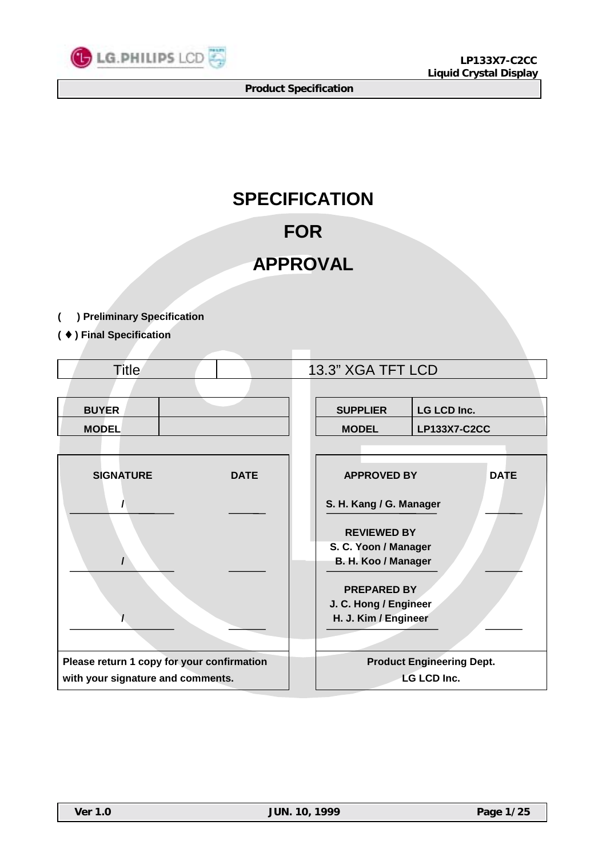

# **SPECIFICATION**

# **FOR**

# **APPROVAL**

- **( ) Preliminary Specification**
- **(** ♦ **) Final Specification**

| <b>Title</b>                               |             |                         | 13.3" XGA TFT LCD                 |                                  |  |  |  |  |
|--------------------------------------------|-------------|-------------------------|-----------------------------------|----------------------------------|--|--|--|--|
|                                            |             |                         |                                   |                                  |  |  |  |  |
| <b>BUYER</b>                               |             |                         | <b>SUPPLIER</b>                   | <b>LG LCD Inc.</b>               |  |  |  |  |
| <b>MODEL</b>                               |             |                         | <b>MODEL</b>                      | <b>LP133X7-C2CC</b>              |  |  |  |  |
|                                            |             |                         |                                   |                                  |  |  |  |  |
| <b>SIGNATURE</b>                           | <b>DATE</b> |                         | <b>APPROVED BY</b><br><b>DATE</b> |                                  |  |  |  |  |
|                                            |             | S. H. Kang / G. Manager |                                   |                                  |  |  |  |  |
|                                            |             | <b>REVIEWED BY</b>      |                                   |                                  |  |  |  |  |
|                                            |             |                         | S. C. Yoon / Manager              |                                  |  |  |  |  |
|                                            |             |                         | B. H. Koo / Manager               |                                  |  |  |  |  |
|                                            |             |                         | <b>PREPARED BY</b>                |                                  |  |  |  |  |
|                                            |             |                         | J. C. Hong / Engineer             |                                  |  |  |  |  |
|                                            |             |                         | H. J. Kim / Engineer              |                                  |  |  |  |  |
|                                            |             |                         |                                   |                                  |  |  |  |  |
| Please return 1 copy for your confirmation |             |                         |                                   | <b>Product Engineering Dept.</b> |  |  |  |  |
| with your signature and comments.          |             |                         |                                   | <b>LG LCD Inc.</b>               |  |  |  |  |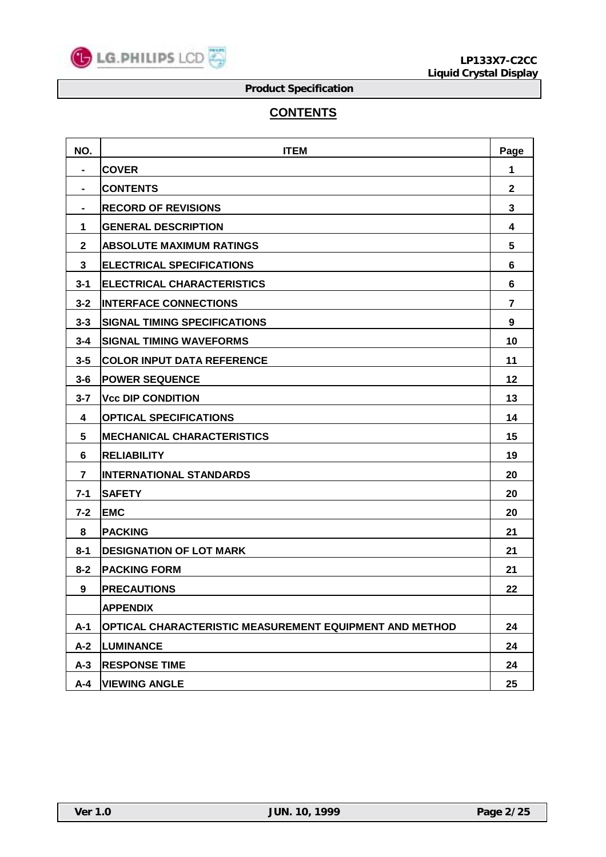

# **CONTENTS**

| NO.            | <b>ITEM</b>                                             | Page         |
|----------------|---------------------------------------------------------|--------------|
| $\blacksquare$ | <b>COVER</b>                                            | 1            |
|                | <b>CONTENTS</b>                                         | $\mathbf{2}$ |
|                | <b>RECORD OF REVISIONS</b>                              | 3            |
| 1              | <b>GENERAL DESCRIPTION</b>                              | 4            |
| $\mathbf{2}$   | <b>ABSOLUTE MAXIMUM RATINGS</b>                         | 5            |
| 3              | <b>ELECTRICAL SPECIFICATIONS</b>                        | 6            |
| $3 - 1$        | <b>ELECTRICAL CHARACTERISTICS</b>                       | 6            |
| $3 - 2$        | <b>INTERFACE CONNECTIONS</b>                            | 7            |
| $3 - 3$        | <b>SIGNAL TIMING SPECIFICATIONS</b>                     | 9            |
| $3 - 4$        | <b>SIGNAL TIMING WAVEFORMS</b>                          | 10           |
| $3 - 5$        | <b>COLOR INPUT DATA REFERENCE</b>                       | 11           |
| $3 - 6$        | <b>POWER SEQUENCE</b>                                   | 12           |
| $3 - 7$        | <b>Vcc DIP CONDITION</b>                                | 13           |
| 4              | <b>OPTICAL SPECIFICATIONS</b>                           | 14           |
| 5              | <b>MECHANICAL CHARACTERISTICS</b>                       | 15           |
| 6              | <b>RELIABILITY</b>                                      | 19           |
| 7              | <b>INTERNATIONAL STANDARDS</b>                          | 20           |
| $7 - 1$        | <b>SAFETY</b>                                           | 20           |
| $7 - 2$        | <b>EMC</b>                                              | 20           |
| 8              | <b>PACKING</b>                                          | 21           |
| $8 - 1$        | <b>DESIGNATION OF LOT MARK</b>                          | 21           |
| $8 - 2$        | <b>PACKING FORM</b>                                     | 21           |
| 9              | <b>PRECAUTIONS</b>                                      | 22           |
|                | <b>APPENDIX</b>                                         |              |
| $A-1$          | OPTICAL CHARACTERISTIC MEASUREMENT EQUIPMENT AND METHOD | 24           |
| $A-2$          | <b>LUMINANCE</b>                                        | 24           |
| $A-3$          | <b>RESPONSE TIME</b>                                    | 24           |
| $A - 4$        | <b>VIEWING ANGLE</b>                                    | 25           |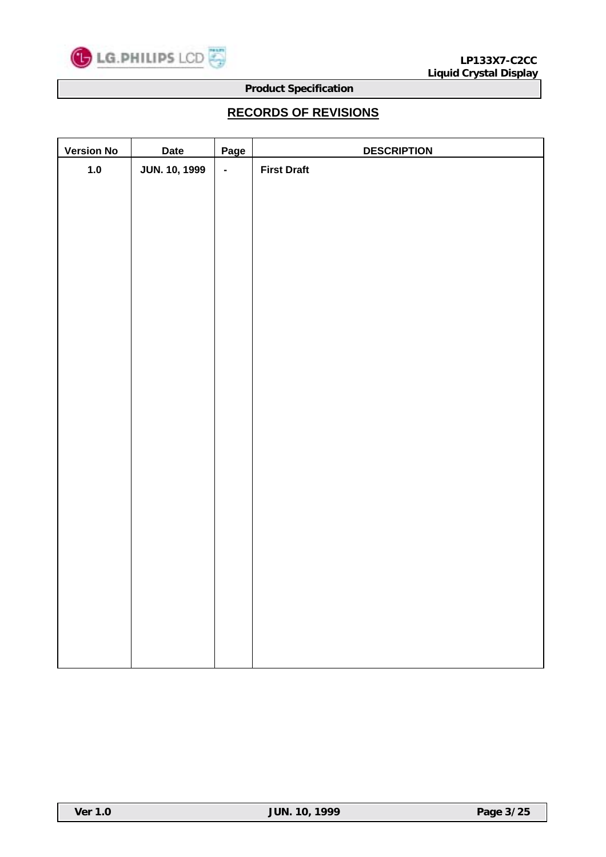

# **RECORDS OF REVISIONS**

| <b>Version No</b> | <b>Date</b>          | Page           | <b>DESCRIPTION</b> |
|-------------------|----------------------|----------------|--------------------|
| $1.0$             | <b>JUN. 10, 1999</b> | $\blacksquare$ | <b>First Draft</b> |
|                   |                      |                |                    |
|                   |                      |                |                    |
|                   |                      |                |                    |
|                   |                      |                |                    |
|                   |                      |                |                    |
|                   |                      |                |                    |
|                   |                      |                |                    |
|                   |                      |                |                    |
|                   |                      |                |                    |
|                   |                      |                |                    |
|                   |                      |                |                    |
|                   |                      |                |                    |
|                   |                      |                |                    |
|                   |                      |                |                    |
|                   |                      |                |                    |
|                   |                      |                |                    |
|                   |                      |                |                    |
|                   |                      |                |                    |
|                   |                      |                |                    |
|                   |                      |                |                    |
|                   |                      |                |                    |
|                   |                      |                |                    |
|                   |                      |                |                    |
|                   |                      |                |                    |
|                   |                      |                |                    |
|                   |                      |                |                    |
|                   |                      |                |                    |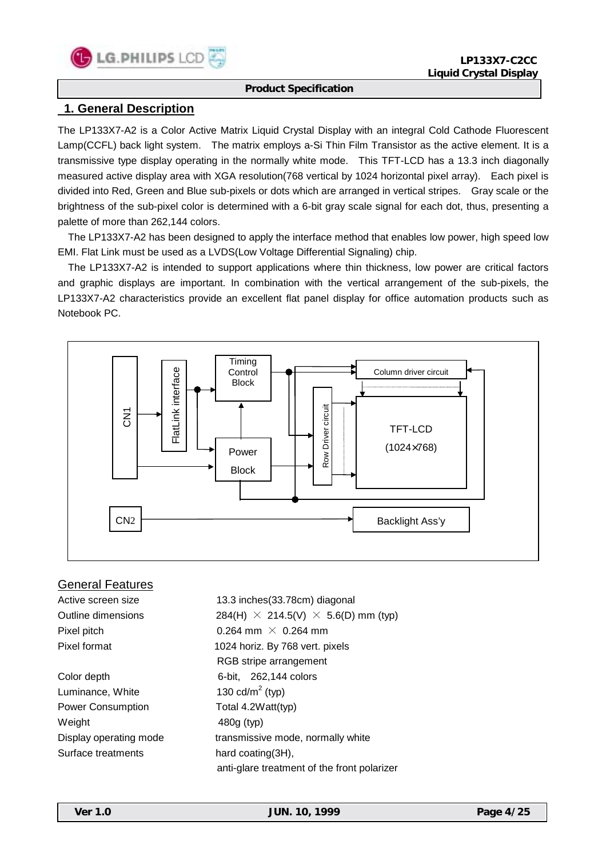

# **1. General Description**

The LP133X7-A2 is a Color Active Matrix Liquid Crystal Display with an integral Cold Cathode Fluorescent Lamp(CCFL) back light system. The matrix employs a-Si Thin Film Transistor as the active element. It is a transmissive type display operating in the normally white mode. This TFT-LCD has a 13.3 inch diagonally measured active display area with XGA resolution(768 vertical by 1024 horizontal pixel array). Each pixel is divided into Red, Green and Blue sub-pixels or dots which are arranged in vertical stripes. Gray scale or the brightness of the sub-pixel color is determined with a 6-bit gray scale signal for each dot, thus, presenting a palette of more than 262,144 colors.

 The LP133X7-A2 has been designed to apply the interface method that enables low power, high speed low EMI. Flat Link must be used as a LVDS(Low Voltage Differential Signaling) chip.

 The LP133X7-A2 is intended to support applications where thin thickness, low power are critical factors and graphic displays are important. In combination with the vertical arrangement of the sub-pixels, the LP133X7-A2 characteristics provide an excellent flat panel display for office automation products such as Notebook PC.



### General Features

Active screen size 13.3 inches(33.78cm) diagonal Outline dimensions 284(H)  $\times$  214.5(V)  $\times$  5.6(D) mm (typ) Pixel pitch  $0.264$  mm  $\times$  0.264 mm Pixel format 1024 horiz. By 768 vert. pixels RGB stripe arrangement Color depth 6-bit, 262,144 colors Luminance, White 130  $\text{cd/m}^2$  (typ) Power Consumption Total 4.2Watt(typ) Weight 480g (typ) Display operating mode transmissive mode, normally white Surface treatments hard coating(3H), anti-glare treatment of the front polarizer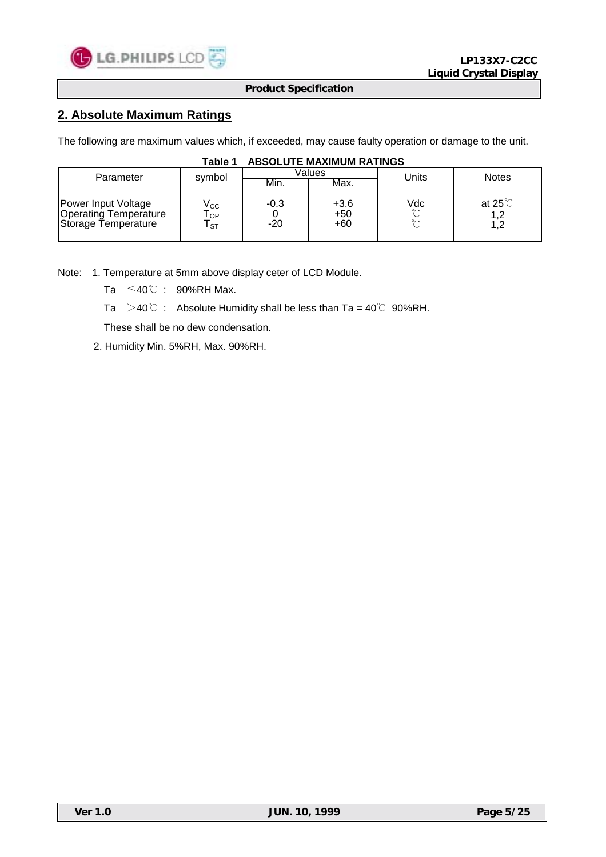

# **2. Absolute Maximum Ratings**

The following are maximum values which, if exceeded, may cause faulty operation or damage to the unit.

| Parameter                                                                  | symbol                          |                 | Values                   | Units                   | <b>Notes</b>                  |  |
|----------------------------------------------------------------------------|---------------------------------|-----------------|--------------------------|-------------------------|-------------------------------|--|
|                                                                            |                                 | Min.            | Max.                     |                         |                               |  |
| Power Input Voltage<br><b>Operating Temperature</b><br>Storage Temperature | $\rm V_{CC}$<br>OP<br><b>ST</b> | $-0.3$<br>$-20$ | $+3.6$<br>$+50$<br>$+60$ | Vdc<br>$\sim$<br>$\sim$ | at $25^{\circ}$<br>1,2<br>1,2 |  |

### **Table 1 ABSOLUTE MAXIMUM RATINGS**

Note: 1. Temperature at 5mm above display ceter of LCD Module.

Ta ≤40℃ : 90%RH Max.

Ta  $>40^{\circ}$  : Absolute Humidity shall be less than Ta = 40°C 90%RH.

These shall be no dew condensation.

2. Humidity Min. 5%RH, Max. 90%RH.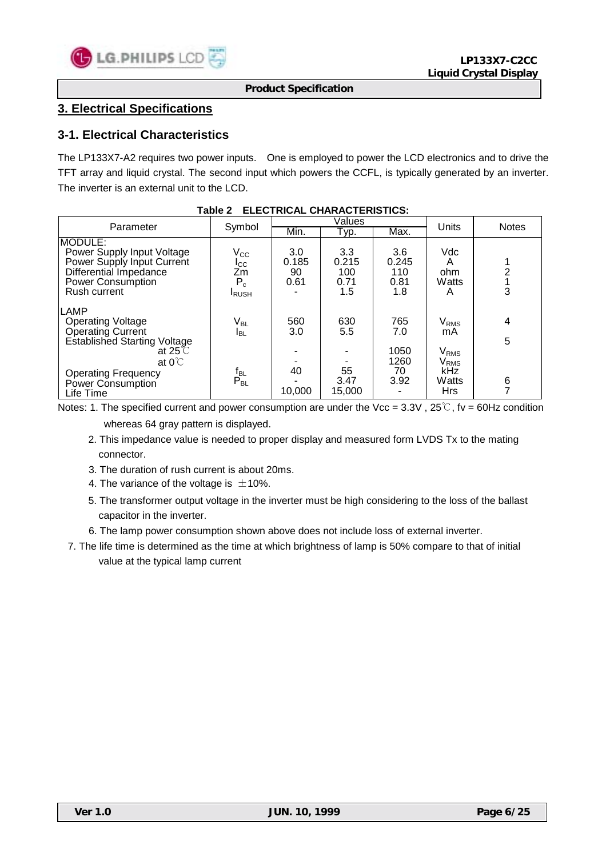

# **3. Electrical Specifications**

### **3-1. Electrical Characteristics**

The LP133X7-A2 requires two power inputs. One is employed to power the LCD electronics and to drive the TFT array and liquid crystal. The second input which powers the CCFL, is typically generated by an inverter. The inverter is an external unit to the LCD.

|                                                                                                                                                                                                            |                                                                         |                            | Values                             |                                          |                                                                                                                 |              |
|------------------------------------------------------------------------------------------------------------------------------------------------------------------------------------------------------------|-------------------------------------------------------------------------|----------------------------|------------------------------------|------------------------------------------|-----------------------------------------------------------------------------------------------------------------|--------------|
| Parameter                                                                                                                                                                                                  | Symbol                                                                  | Min.                       | Typ.                               | Max.                                     | Units                                                                                                           | <b>Notes</b> |
| IMODULE:<br>Power Supply Input Voltage<br>Power Supply Input Current<br>Differential Impedance<br>Power Consumption<br>Rush current                                                                        | $\rm V_{CC}$<br>$_{\rm{ICC}}$<br>Ζm<br>$P_c$<br><b>I</b> RUSH           | 3.0<br>0.185<br>90<br>0.61 | 3.3<br>0.215<br>100<br>0.71<br>1.5 | 3.6<br>0.245<br>110<br>0.81<br>1.8       | <b>Vdc</b><br>Α<br>ohm<br>Watts<br>Α                                                                            | 3            |
| <b>LAMP</b><br><b>Operating Voltage</b><br>Operating Current<br><b>Established Starting Voltage</b><br>at 25 $\degree$ C<br>at $0^{\circ}$<br><b>Operating Frequency</b><br>Power Consumption<br>Life Time | V <sub>BL</sub><br><b>I</b> BL<br>$\frac{\text{t}_{BL}}{\text{P}_{BL}}$ | 560<br>3.0<br>40<br>10,000 | 630<br>5.5<br>55<br>3.47<br>15,000 | 765<br>7.0<br>1050<br>1260<br>70<br>3.92 | $\mathsf{V}_{\mathsf{RMS}}$<br>mA<br>$\mathsf{V}_{\mathsf{RMS}}$<br>$\rm V_{RMS}$<br>kHz<br>Watts<br><b>Hrs</b> | 4<br>5<br>6  |

#### **Table 2 ELECTRICAL CHARACTERISTICS:**

Notes: 1. The specified current and power consumption are under the Vcc = 3.3V, 25°C, fv = 60Hz condition whereas 64 gray pattern is displayed.

- 2. This impedance value is needed to proper display and measured form LVDS Tx to the mating connector.
- 3. The duration of rush current is about 20ms.
- 4. The variance of the voltage is  $\pm$ 10%.
- 5. The transformer output voltage in the inverter must be high considering to the loss of the ballast capacitor in the inverter.
- 6. The lamp power consumption shown above does not include loss of external inverter.
- 7. The life time is determined as the time at which brightness of lamp is 50% compare to that of initial value at the typical lamp current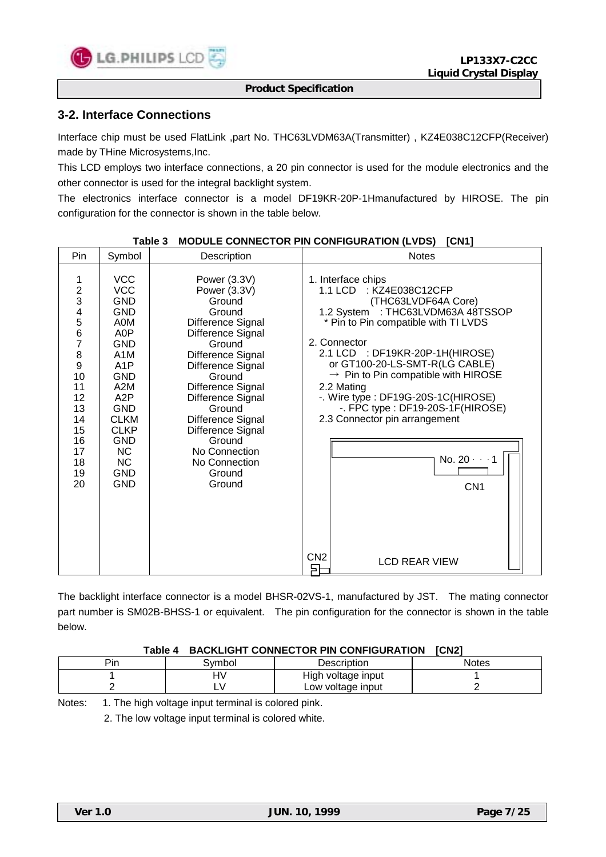

### **3-2. Interface Connections**

Interface chip must be used FlatLink ,part No. THC63LVDM63A(Transmitter) , KZ4E038C12CFP(Receiver) made by THine Microsystems,Inc.

This LCD employs two interface connections, a 20 pin connector is used for the module electronics and the other connector is used for the integral backlight system.

The electronics interface connector is a model DF19KR-20P-1Hmanufactured by HIROSE. The pin configuration for the connector is shown in the table below.

| Pin                                                                                                                                                                 | Symbol                                                                                                                                                                                                                                                                            | Description                                                                                                                                                                                                                                                                                                            | <b>Notes</b>                                                                                                                                                                                                                                                                                                                                                                                                                                                                                           |
|---------------------------------------------------------------------------------------------------------------------------------------------------------------------|-----------------------------------------------------------------------------------------------------------------------------------------------------------------------------------------------------------------------------------------------------------------------------------|------------------------------------------------------------------------------------------------------------------------------------------------------------------------------------------------------------------------------------------------------------------------------------------------------------------------|--------------------------------------------------------------------------------------------------------------------------------------------------------------------------------------------------------------------------------------------------------------------------------------------------------------------------------------------------------------------------------------------------------------------------------------------------------------------------------------------------------|
| 1<br>$\overline{c}$<br>3<br>$\overline{\mathcal{A}}$<br>$\frac{5}{6}$<br>$\overline{7}$<br>8<br>9<br>10<br>11<br>12<br>13<br>14<br>15<br>16<br>17<br>18<br>19<br>20 | <b>VCC</b><br><b>VCC</b><br><b>GND</b><br><b>GND</b><br>A0M<br>A0P<br><b>GND</b><br>A <sub>1</sub> M<br>A <sub>1</sub> P<br><b>GND</b><br>A2M<br>A <sub>2</sub> P<br><b>GND</b><br><b>CLKM</b><br><b>CLKP</b><br><b>GND</b><br><b>NC</b><br><b>NC</b><br><b>GND</b><br><b>GND</b> | Power (3.3V)<br>Power (3.3V)<br>Ground<br>Ground<br>Difference Signal<br>Difference Signal<br>Ground<br>Difference Signal<br>Difference Signal<br>Ground<br>Difference Signal<br>Difference Signal<br>Ground<br>Difference Signal<br>Difference Signal<br>Ground<br>No Connection<br>No Connection<br>Ground<br>Ground | 1. Interface chips<br>1.1 LCD : KZ4E038C12CFP<br>(THC63LVDF64A Core)<br>1.2 System : THC63LVDM63A 48TSSOP<br>* Pin to Pin compatible with TI LVDS<br>2. Connector<br>2.1 LCD : DF19KR-20P-1H(HIROSE)<br>or GT100-20-LS-SMT-R(LG CABLE)<br>$\rightarrow$ Pin to Pin compatible with HIROSE<br>2.2 Mating<br>-. Wire type: DF19G-20S-1C(HIROSE)<br>-. FPC type : DF19-20S-1F(HIROSE)<br>2.3 Connector pin arrangement<br>No. $20 - 1$<br>CN <sub>1</sub><br>CN <sub>2</sub><br><b>LCD REAR VIEW</b><br>戶 |

#### Table 3 MODULE CONNECTOR PIN CONFIGURATION (LVDS) [CN1]

The backlight interface connector is a model BHSR-02VS-1, manufactured by JST. The mating connector part number is SM02B-BHSS-1 or equivalent. The pin configuration for the connector is shown in the table below.

#### **Table 4 BACKLIGHT CONNECTOR PIN CONFIGURATION [CN2]**

| Pin | 3vmbol | Description        | Notes |
|-----|--------|--------------------|-------|
|     | ╜      | High voltage input |       |
|     | -      | Low voltage input  |       |

Notes: 1. The high voltage input terminal is colored pink.

2. The low voltage input terminal is colored white.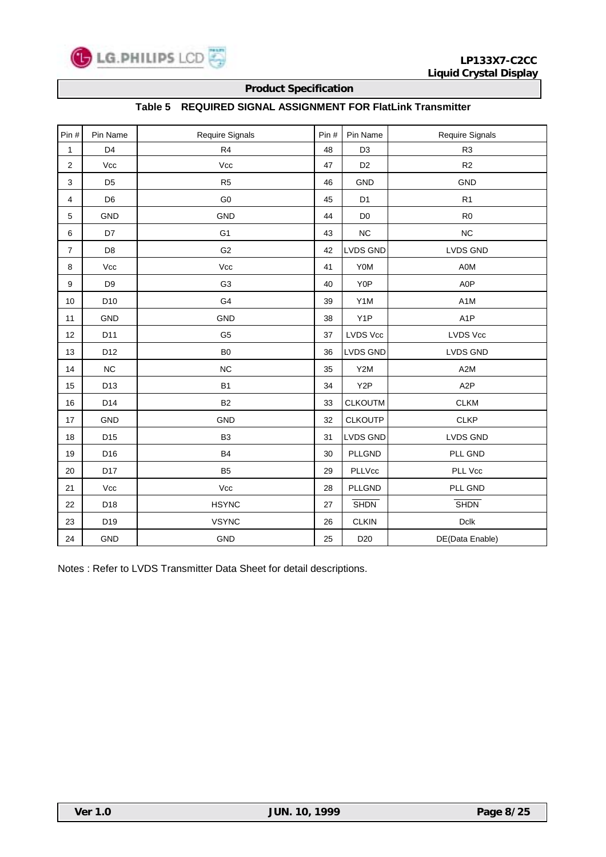

### **Table 5 REQUIRED SIGNAL ASSIGNMENT FOR FlatLink Transmitter**

| Pin#                    | Pin Name        | Require Signals | Pin# | Pin Name         | <b>Require Signals</b> |
|-------------------------|-----------------|-----------------|------|------------------|------------------------|
| 1                       | D <sub>4</sub>  | R4              | 48   | D <sub>3</sub>   | R <sub>3</sub>         |
| $\overline{\mathbf{c}}$ | Vcc             | Vcc             | 47   | D <sub>2</sub>   | R2                     |
| 3                       | D <sub>5</sub>  | R <sub>5</sub>  | 46   | GND              | <b>GND</b>             |
| 4                       | D <sub>6</sub>  | G <sub>0</sub>  | 45   | D <sub>1</sub>   | R <sub>1</sub>         |
| 5                       | <b>GND</b>      | GND             | 44   | D <sub>0</sub>   | R <sub>0</sub>         |
| 6                       | D7              | G <sub>1</sub>  | 43   | $NC$             | $NC$                   |
| $\overline{7}$          | D <sub>8</sub>  | G <sub>2</sub>  | 42   | <b>LVDS GND</b>  | LVDS GND               |
| 8                       | Vcc             | Vcc             | 41   | Y0M              | A0M                    |
| 9                       | D <sub>9</sub>  | G <sub>3</sub>  | 40   | Y0P              | A0P                    |
| 10 <sup>1</sup>         | D <sub>10</sub> | G4              | 39   | Y1M              | A <sub>1</sub> M       |
| 11                      | <b>GND</b>      | GND             | 38   | Y <sub>1</sub> P | A <sub>1</sub> P       |
| 12                      | D11             | G <sub>5</sub>  | 37   | <b>LVDS Vcc</b>  | <b>LVDS Vcc</b>        |
| 13                      | D <sub>12</sub> | B <sub>0</sub>  | 36   | <b>LVDS GND</b>  | <b>LVDS GND</b>        |
| 14                      | NC              | $NC$            | 35   | Y2M              | A <sub>2</sub> M       |
| 15                      | D <sub>13</sub> | <b>B1</b>       | 34   | Y <sub>2</sub> P | A <sub>2</sub> P       |
| 16                      | D14             | <b>B2</b>       | 33   | <b>CLKOUTM</b>   | <b>CLKM</b>            |
| 17                      | <b>GND</b>      | <b>GND</b>      | 32   | <b>CLKOUTP</b>   | <b>CLKP</b>            |
| 18                      | D <sub>15</sub> | B <sub>3</sub>  | 31   | <b>LVDS GND</b>  | <b>LVDS GND</b>        |
| 19                      | D <sub>16</sub> | <b>B4</b>       | 30   | <b>PLLGND</b>    | PLL GND                |
| 20                      | D17             | B <sub>5</sub>  | 29   | PLLVcc           | PLL Vcc                |
| 21                      | Vcc             | Vcc             | 28   | PLLGND           | PLL GND                |
| 22                      | D18             | <b>HSYNC</b>    | 27   | <b>SHDN</b>      | <b>SHDN</b>            |
| 23                      | D19             | <b>VSYNC</b>    | 26   | <b>CLKIN</b>     | Dclk                   |
| 24                      | <b>GND</b>      | GND             | 25   | D <sub>20</sub>  | DE(Data Enable)        |

Notes : Refer to LVDS Transmitter Data Sheet for detail descriptions.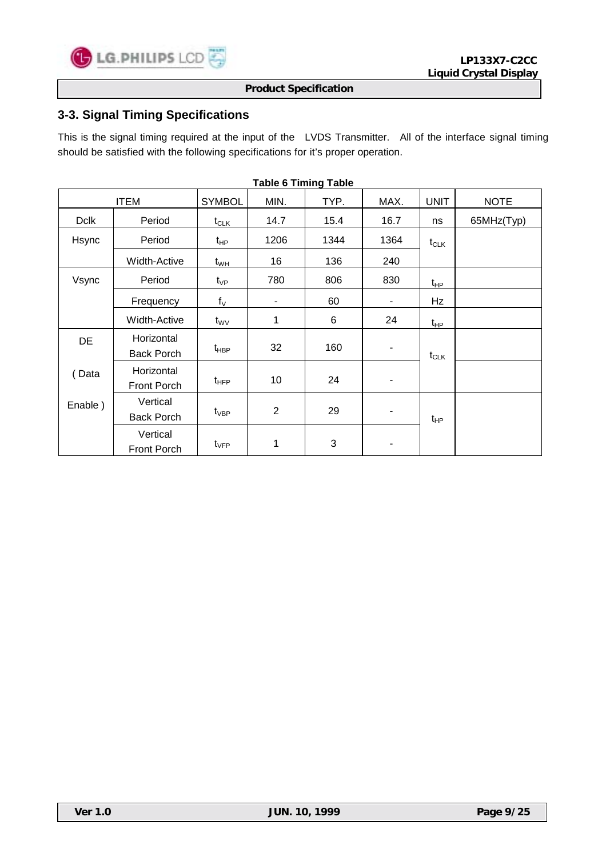

# **3-3. Signal Timing Specifications**

This is the signal timing required at the input of the LVDS Transmitter. All of the interface signal timing should be satisfied with the following specifications for it's proper operation.

| סושטו צווווווויש טושטו |                                 |                            |                 |      |      |             |             |  |
|------------------------|---------------------------------|----------------------------|-----------------|------|------|-------------|-------------|--|
|                        | <b>ITEM</b>                     | <b>SYMBOL</b>              | MIN.            | TYP. | MAX. | <b>UNIT</b> | <b>NOTE</b> |  |
| <b>Dclk</b>            | Period                          | $t_{CLK}$                  | 14.7            | 15.4 | 16.7 | ns          | 65MHz(Typ)  |  |
| Hsync                  | Period                          | t <sub>HP</sub>            | 1206            | 1344 | 1364 | $t_{CLK}$   |             |  |
|                        | Width-Active                    | $\mathsf{t}_{\mathsf{WH}}$ | 16              | 136  | 240  |             |             |  |
| Vsync                  | Period                          | $t_{\rm VP}$               | 780             | 806  | 830  | $t_{HP}$    |             |  |
|                        | Frequency                       | $f_V$                      |                 | 60   | ٠    | Hz          |             |  |
|                        | Width-Active                    | $t_{\rm WV}$               | 1               | 6    | 24   | $t_{HP}$    |             |  |
| DE                     | Horizontal<br><b>Back Porch</b> | $t_{\sf HBP}$              | 32              | 160  | ٠    | $t_{CLK}$   |             |  |
| Data                   | Horizontal<br>Front Porch       | $t_{\text{HFP}}$           | 10 <sub>1</sub> | 24   | ٠    |             |             |  |
| Enable)                | Vertical<br><b>Back Porch</b>   | $t_{\sf VBP}$              | $\overline{2}$  | 29   | ٠    | $t_{HP}$    |             |  |
|                        | Vertical<br>Front Porch         | $t_{\sf VFP}$              | 1               | 3    | ۰    |             |             |  |

**Table 6 Timing Table**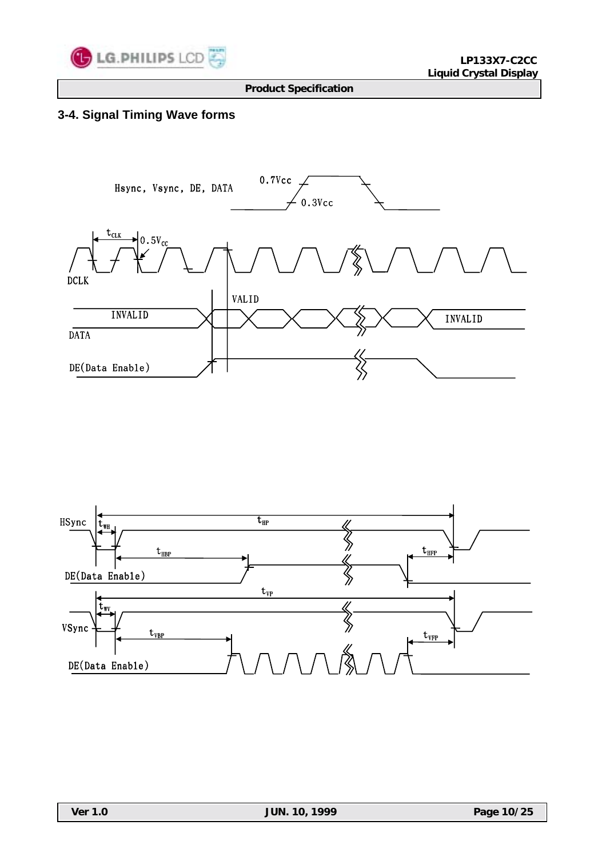

# **3-4. Signal Timing Wave forms**



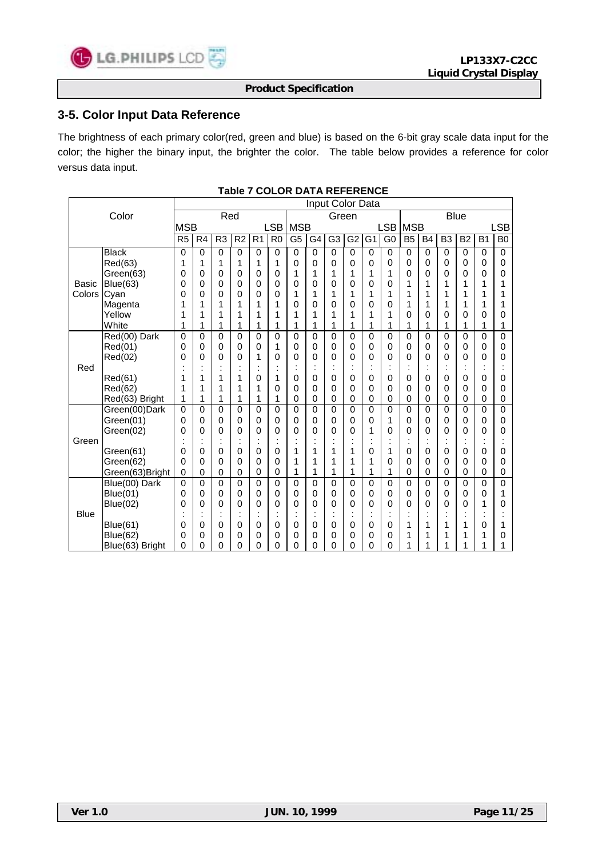

### **3-5. Color Input Data Reference**

The brightness of each primary color(red, green and blue) is based on the 6-bit gray scale data input for the color; the higher the binary input, the brighter the color. The table below provides a reference for color versus data input.

|             |                 | Input Color Data |                |                |                |                                        |                |                 |          |                |                 |                |                |                |           |                |                |                |                |
|-------------|-----------------|------------------|----------------|----------------|----------------|----------------------------------------|----------------|-----------------|----------|----------------|-----------------|----------------|----------------|----------------|-----------|----------------|----------------|----------------|----------------|
|             | Color           |                  |                | Red            |                |                                        |                |                 |          | Green          |                 |                |                |                |           |                | <b>Blue</b>    |                |                |
|             |                 | <b>MSB</b>       |                |                |                |                                        | <b>LSB</b>     | <b>MSB</b>      |          |                |                 |                | LSB            | <b>MSB</b>     |           |                |                |                | SB.            |
|             |                 | R <sub>5</sub>   | R <sub>4</sub> | R <sub>3</sub> | R <sub>2</sub> | R <sub>1</sub>                         | R <sub>0</sub> | $\overline{G5}$ | G4       | G <sub>3</sub> | $\overline{G2}$ | G <sub>1</sub> | G <sub>0</sub> | B <sub>5</sub> | <b>B4</b> | B <sub>3</sub> | B <sub>2</sub> | B <sub>1</sub> | B <sub>0</sub> |
|             | <b>Black</b>    | 0                | $\mathbf 0$    | 0              | 0              | 0                                      | 0              | $\mathbf 0$     | 0        | 0              | 0               | 0              | $\mathbf 0$    | 0              | 0         | 0              | $\Omega$       | 0              | $\mathbf 0$    |
|             | Red(63)         | 1                | 1              | 1              | 1              | 1                                      | 1              | 0               | 0        | 0              | 0               | 0              | 0              | 0              | 0         | 0              | 0              | 0              | 0              |
|             | Green(63)       | 0                | 0              | 0              | 0              | 0                                      | 0              | 1               | 1        | 1              | 1               | 1              | 1              | 0              | 0         | 0              | 0              | 0              | 0              |
| Basic       | Blue(63)        | 0                | 0              | 0              | 0              | 0                                      | 0              | 0               | 0        | 0              | $\mathbf 0$     | 0              | 0              | 1              | 1         | 1              | 1              | 1              | 1              |
| Colors      | Cyan            | 0                | 0              | 0              | 0              | 0                                      | 0              | 1               | 1        | 1              | 1               | 1              | 1              | 1              | 1         | 1              | 1              | 1              | 1              |
|             | Magenta         |                  | 1              | 1              | 1              | 1                                      | 1              | 0               | 0        | 0              | 0               | 0              | 0              | 1              | 1         | 1              | 1              | 1              | 1              |
|             | Yellow          | 1                | 1              | 1              | 1              | 1                                      | 1              | 1               | 1        | 1              | 1               | 1              | 1              | 0              | 0         | 0              | 0              | 0              | 0              |
|             | White           | 1                | 1              | 1              | 1              | 1                                      | 1              | 1               | 1        | 1              | 1               | 1              | 1              | 1              | 1         | $\mathbf{1}$   | 1              | 1              | 1              |
|             | Red(00) Dark    | 0                | 0              | $\Omega$       | 0              | 0                                      | 0              | 0               | $\Omega$ | 0              | $\Omega$        | $\Omega$       | 0              | $\mathbf{0}$   | 0         | 0              | $\mathbf{0}$   | 0              | 0              |
|             | Red(01)         | 0                | 0              | 0              | 0              | 0                                      | 1              | 0               | 0        | 0              | $\Omega$        | 0              | 0              | 0              | 0         | 0              | 0              | 0              | 0              |
|             | Red(02)         | 0                | 0              | 0              | 0              | 1                                      | 0              | $\Omega$        | 0        | 0              | $\Omega$        | 0              | 0              | 0              | 0         | 0              | 0              | 0              | 0              |
| Red         |                 |                  |                |                |                | ٠<br>$\blacksquare$                    | ٠              | ٠<br>$\cdot$    | ٠        | ٠<br>٠         |                 | ٠<br>٠         | t              |                | $\cdot$   | $\cdot$        |                | ٠<br>٠         |                |
|             | Red(61)         | 1                | 1              | 1              | 1              | 0                                      | 1              | 0               | 0        | 0              | $\mathbf 0$     | 0              | 0              | 0              | 0         | 0              | 0              | 0              | 0              |
|             | Red(62)         | 1                | 1              | 1              | 1              | 1                                      | 0              | 0               | 0        | 0              | $\mathbf 0$     | 0              | 0              | 0              | 0         | 0              | 0              | 0              | 0              |
|             | Red(63) Bright  | 1                | 1              | 1              | 1              | 1                                      | 1              | 0               | 0        | 0              | 0               | 0              | 0              | 0              | 0         | 0              | 0              | 0              | 0              |
|             | Green(00)Dark   | 0                | 0              | $\mathbf 0$    | 0              | 0                                      | 0              | $\mathbf 0$     | 0        | $\mathbf 0$    | $\mathbf 0$     | 0              | 0              | $\mathbf{0}$   | 0         | 0              | $\mathbf{0}$   | 0              | $\Omega$       |
|             | Green(01)       | 0                | 0              | 0              | 0              | 0                                      | 0              | 0               | 0        | 0              | $\mathbf 0$     | 0              | 1              | 0              | 0         | 0              | 0              | 0              | 0              |
|             | Green(02)       | 0                | 0              | 0              | 0              | 0                                      | 0              | 0               | 0        | 0              | $\mathbf 0$     | 1              | 0              | 0              | 0         | 0              | 0              | 0              | 0              |
| Green       |                 |                  |                |                |                | $\blacksquare$<br>$\ddot{\phantom{a}}$ |                |                 |          |                |                 |                | $\cdot$<br>٠   |                |           |                |                | ï              |                |
|             | Green(61)       | 0                | 0              | 0              | 0              | 0                                      | 0              | 1               | 1        | 1              | 1               | 0              | 1              | 0              | 0         | 0              | 0              | 0              | 0              |
|             | Green(62)       | 0                | 0              | 0              | 0              | 0                                      | 0              | 1               | 1        | 1              | 1               | 1              | 0              | $\Omega$       | 0         | 0              | 0              | 0              | 0              |
|             | Green(63)Bright | $\mathbf 0$      | 0              | 0              | 0              | 0                                      | 0              | 1               | 1        | 1              | 1               | 1              | 1              | $\mathbf 0$    | 0         | 0              | 0              | 0              | 0              |
|             | Blue(00) Dark   | 0                | 0              | 0              | 0              | 0                                      | 0              | 0               | 0        | 0              | $\mathbf 0$     | 0              | 0              | $\Omega$       | 0         | 0              | $\Omega$       | 0              | 0              |
|             | Blue(01)        | 0                | 0              | 0              | 0              | 0                                      | 0              | 0               | 0        | 0              | $\Omega$        | $\Omega$       | 0              | $\Omega$       | 0         | 0              | 0              | 0              | 1              |
|             | Blue(02)        | 0                | 0              | 0              | 0              | 0                                      | 0              | 0               | $\Omega$ | 0              | $\Omega$        | 0              | 0              | 0              | 0         | 0              | 0              | 1              | 0              |
| <b>Blue</b> |                 |                  |                |                |                | ٠<br>$\blacksquare$                    |                | ٠               | ٠        | ٠              |                 | ٠              | ٠              |                |           |                |                | ٠              |                |
|             | <b>Blue(61)</b> | 0                | 0              | 0              | 0              | 0                                      | 0              | 0               | 0        | 0              | $\mathbf 0$     | 0              | 0              | 1              | 1         | 1              | 1              | 0              |                |
|             | Blue(62)        | 0                | 0              | 0              | 0              | 0                                      | 0              | 0               | 0        | 0              | 0               | 0              | 0              | 1              |           | 1              | 1              |                | 0              |
|             | Blue(63) Bright | 0                | 0              | 0              | 0              | 0                                      | 0              | 0               | 0        | 0              | 0               | 0              | 0              | 1              |           | 1              | 1              |                | 1              |

#### **Table 7 COLOR DATA REFERENCE**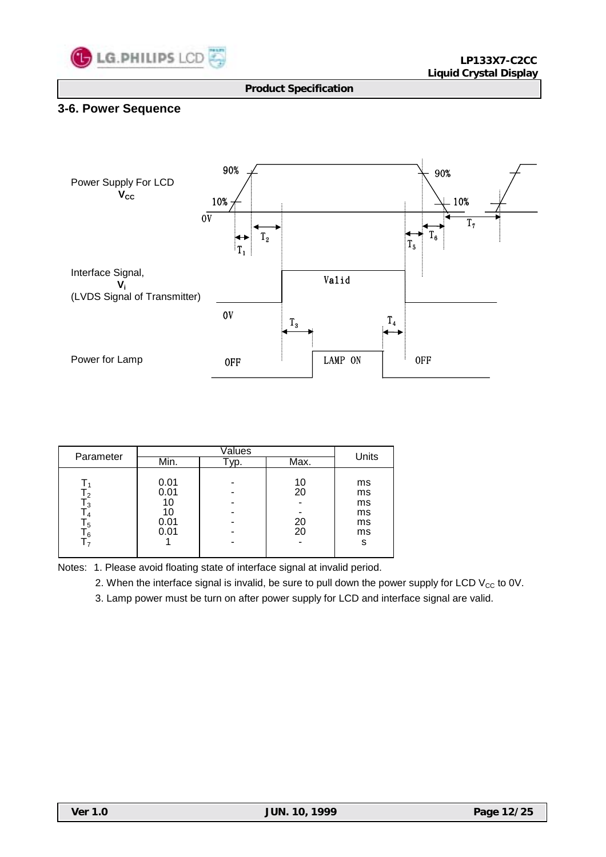

# **3-6. Power Sequence**



| Parameter                               |                                    | Units |                      |                                       |  |
|-----------------------------------------|------------------------------------|-------|----------------------|---------------------------------------|--|
|                                         | Min.                               | vp.   | Max.                 |                                       |  |
| т<br>3<br>6<br>$\overline{\phantom{a}}$ | 0.01<br>0.01<br>10<br>0.01<br>0.01 |       | 10<br>20<br>20<br>20 | ms<br>ms<br>ms<br>ms<br>ms<br>ms<br>s |  |

Notes: 1. Please avoid floating state of interface signal at invalid period.

2. When the interface signal is invalid, be sure to pull down the power supply for LCD  $V_{CC}$  to 0V.

3. Lamp power must be turn on after power supply for LCD and interface signal are valid.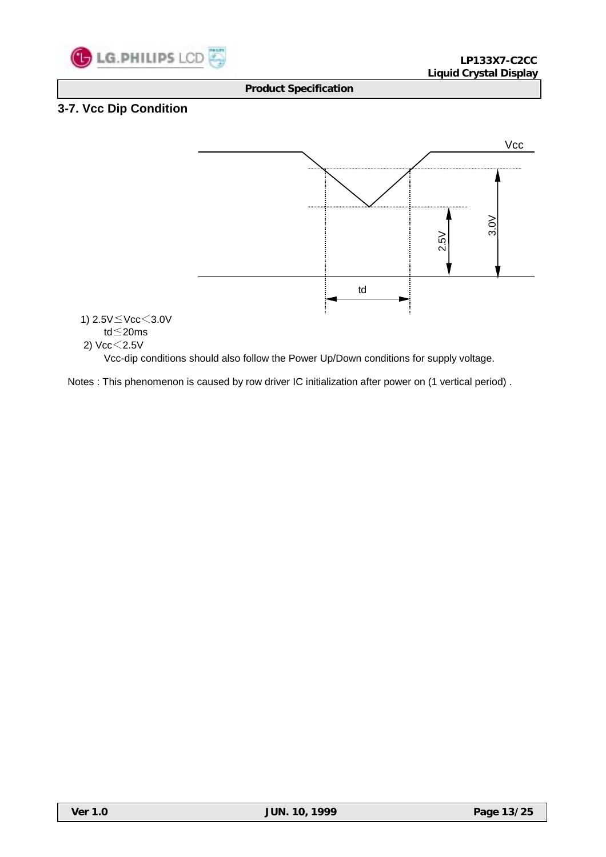

# **3-7. Vcc Dip Condition**

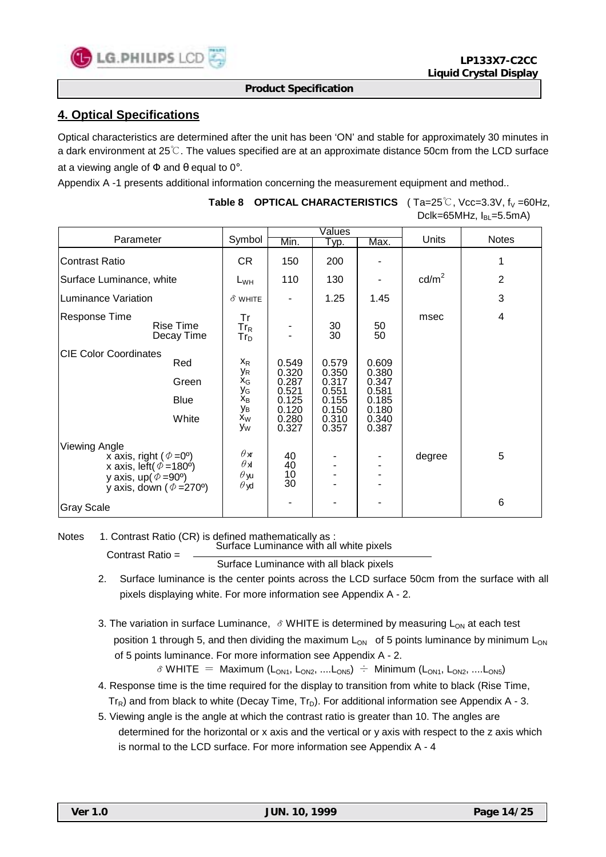

# **4. Optical Specifications**

Optical characteristics are determined after the unit has been 'ON' and stable for approximately 30 minutes in a dark environment at 25℃. The values specified are at an approximate distance 50cm from the LCD surface at a viewing angle of  $\Phi$  and  $\theta$  equal to 0°.

Appendix A -1 presents additional information concerning the measurement equipment and method..

|                                                                                                                                                                               |                                                                            |                                                                      | $\sqrt{\mathsf{values}}$                                             |                                                                      |                 |                         |
|-------------------------------------------------------------------------------------------------------------------------------------------------------------------------------|----------------------------------------------------------------------------|----------------------------------------------------------------------|----------------------------------------------------------------------|----------------------------------------------------------------------|-----------------|-------------------------|
| Parameter                                                                                                                                                                     | Symbol                                                                     | Min.                                                                 | Typ.                                                                 | Max.                                                                 | <b>Units</b>    | <b>Notes</b>            |
| <b>Contrast Ratio</b>                                                                                                                                                         | CR.                                                                        | 150                                                                  | 200                                                                  |                                                                      |                 | 1                       |
| Surface Luminance, white                                                                                                                                                      | $L_{WH}$                                                                   | 110                                                                  | 130                                                                  |                                                                      | $\text{cd/m}^2$ | $\overline{2}$          |
| Luminance Variation                                                                                                                                                           | $\delta$ WHITE                                                             |                                                                      | 1.25                                                                 | 1.45                                                                 |                 | 3                       |
| <b>Response Time</b><br><b>Rise Time</b><br>Decay Time                                                                                                                        | Tr<br>$Tr_R$<br>$Tr_D$                                                     |                                                                      | 30<br>$\overline{30}$                                                | 50<br>50                                                             | msec            | $\overline{\mathbf{4}}$ |
| <b>CIE Color Coordinates</b><br>Red<br>Green<br><b>Blue</b><br>White                                                                                                          | $X_R$<br>УR<br>$X_G$<br>УG<br>Х <sub>В</sub><br>Ув<br>X <sub>W</sub><br>Уw | 0.549<br>0.320<br>0.287<br>0.521<br>0.125<br>0.120<br>0.280<br>0.327 | 0.579<br>0.350<br>0.317<br>0.551<br>0.155<br>0.150<br>0.310<br>0.357 | 0.609<br>0.380<br>0.347<br>0.581<br>0.185<br>0.180<br>0.340<br>0.387 |                 |                         |
| <b>Viewing Angle</b><br>x axis, right ( $\Phi = 0^{\circ}$ )<br>x axis, left( $\phi$ =180 <sup>o</sup> )<br>y axis, up( $\Phi$ =90°)<br>y axis, down ( $\Phi = 270^{\circ}$ ) | $\theta$ xr<br>$\theta$ x<br>$\theta$ yu<br>$\theta$ yd                    | 40<br>40<br>10<br>30 <sup>°</sup>                                    |                                                                      |                                                                      | degree          | 5                       |
| <b>Gray Scale</b>                                                                                                                                                             |                                                                            |                                                                      |                                                                      |                                                                      |                 | 6                       |

### **Table 8 OPTICAL CHARACTERISTICS** (Ta=25℃, Vcc=3.3V, f<sub>V</sub>=60Hz, Dclk=65MHz,  $I_{BL}$ =5.5mA)

Notes 1. Contrast Ratio (CR) is defined mathematically as : Surface Luminance with all white pixels Contrast Ratio =

Surface Luminance with all black pixels

- 2. Surface luminance is the center points across the LCD surface 50cm from the surface with all pixels displaying white. For more information see Appendix A - 2.
- 3. The variation in surface Luminance,  $\delta$  WHITE is determined by measuring L<sub>ON</sub> at each test position 1 through 5, and then dividing the maximum  $L_{ON}$  of 5 points luminance by minimum  $L_{ON}$ of 5 points luminance. For more information see Appendix A - 2.

 $\delta$  WHITE = Maximum (L<sub>ON1</sub>, L<sub>ON2</sub>, ....L<sub>ON5</sub>) ÷ Minimum (L<sub>ON1</sub>, L<sub>ON2</sub>, ....L<sub>ON5</sub>)

- 4. Response time is the time required for the display to transition from white to black (Rise Time,  $Tr_R$ ) and from black to white (Decay Time,  $Tr_D$ ). For additional information see Appendix A - 3.
- 5. Viewing angle is the angle at which the contrast ratio is greater than 10. The angles are determined for the horizontal or x axis and the vertical or y axis with respect to the z axis which is normal to the LCD surface. For more information see Appendix A - 4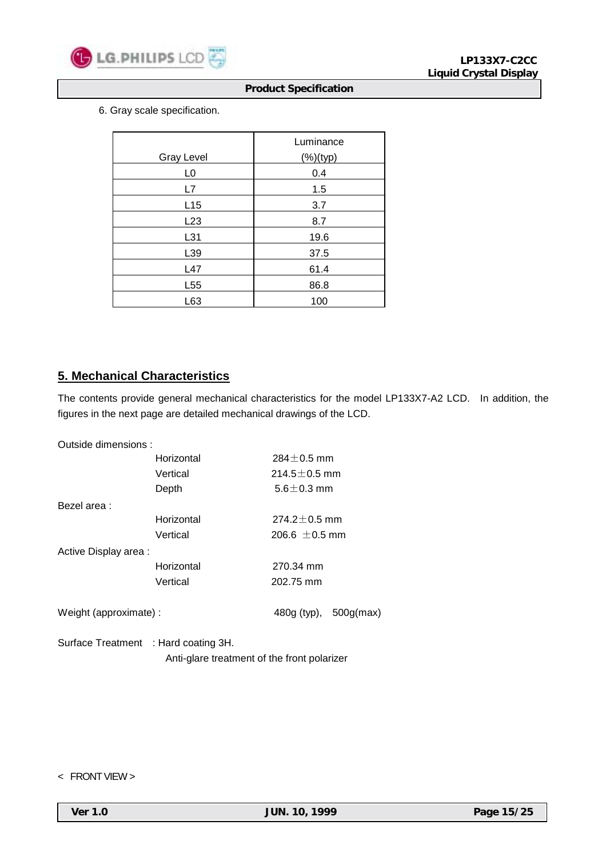

6. Gray scale specification.

|                   | Luminance   |
|-------------------|-------------|
| <b>Gray Level</b> | $(%)$ (typ) |
| L <sub>0</sub>    | 0.4         |
| L7                | 1.5         |
| L15               | 3.7         |
| L23               | 8.7         |
| L31               | 19.6        |
| L39               | 37.5        |
| L47               | 61.4        |
| L <sub>55</sub>   | 86.8        |
| L63               | 100         |

# **5. Mechanical Characteristics**

The contents provide general mechanical characteristics for the model LP133X7-A2 LCD. In addition, the figures in the next page are detailed mechanical drawings of the LCD.

| Outside dimensions:    |                       |                    |  |  |  |  |
|------------------------|-----------------------|--------------------|--|--|--|--|
|                        | Horizontal            | $284 + 0.5$ mm     |  |  |  |  |
|                        | Vertical              | $214.5 + 0.5$ mm   |  |  |  |  |
|                        | Depth                 | $5.6 \pm 0.3$ mm   |  |  |  |  |
| Bezel area :           |                       |                    |  |  |  |  |
|                        | Horizontal            | $274.2 \pm 0.5$ mm |  |  |  |  |
|                        | Vertical              | 206.6 $\pm$ 0.5 mm |  |  |  |  |
| Active Display area :  |                       |                    |  |  |  |  |
|                        | Horizontal            | 270.34 mm          |  |  |  |  |
|                        | Vertical              | 202.75 mm          |  |  |  |  |
| Weight (approximate) : | 480g (typ), 500g(max) |                    |  |  |  |  |
|                        |                       |                    |  |  |  |  |

Surface Treatment : Hard coating 3H. Anti-glare treatment of the front polarizer

< FRONT VIEW >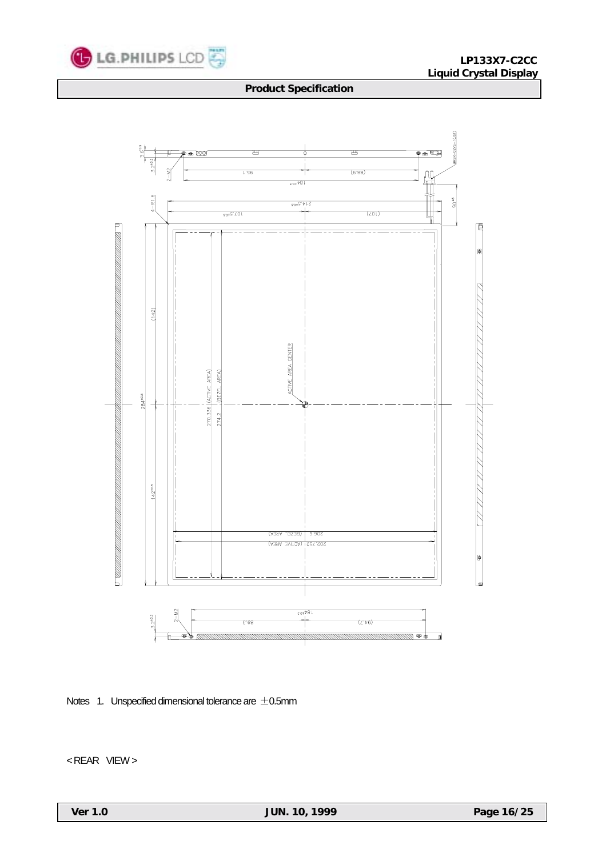



Notes 1. Unspecified dimensional tolerance are  $\pm$ 0.5mm

< REAR VIEW >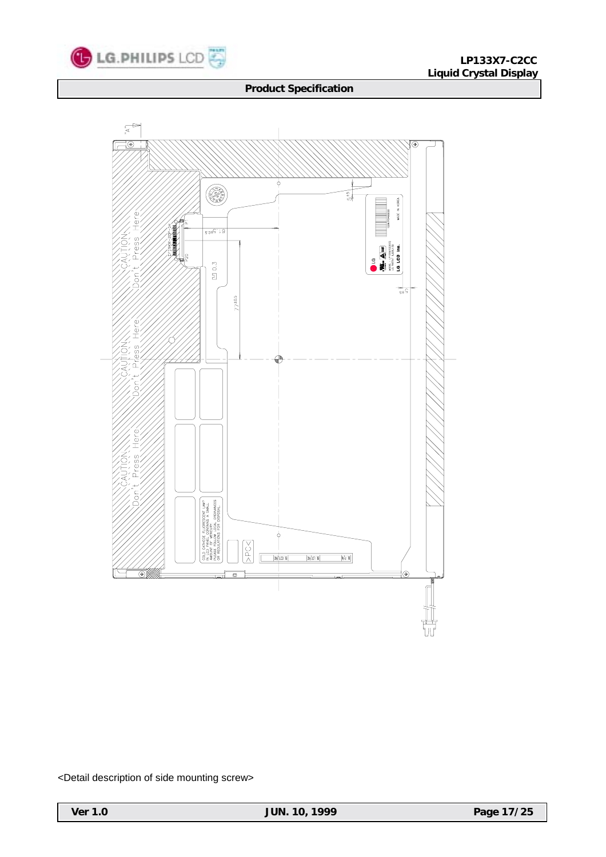



<Detail description of side mounting screw>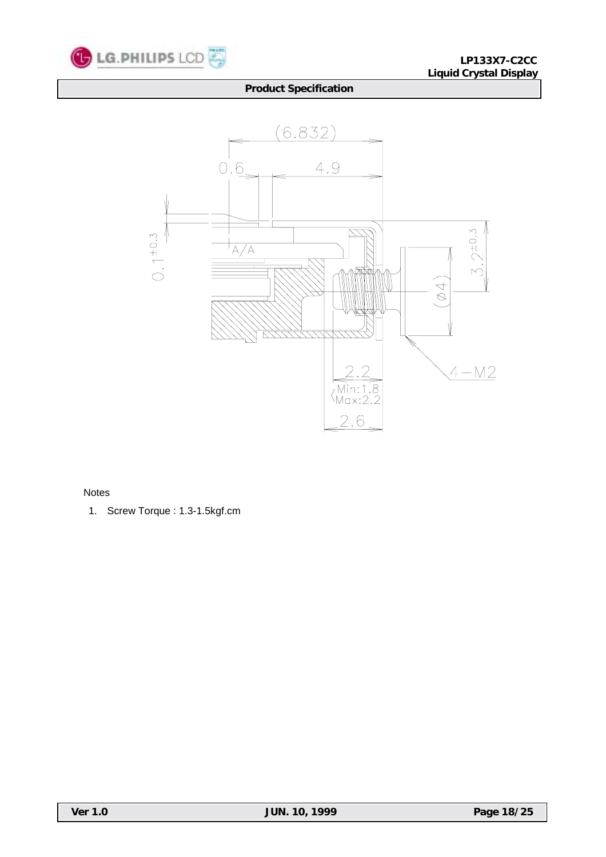



Notes

1. Screw Torque : 1.3-1.5kgf.cm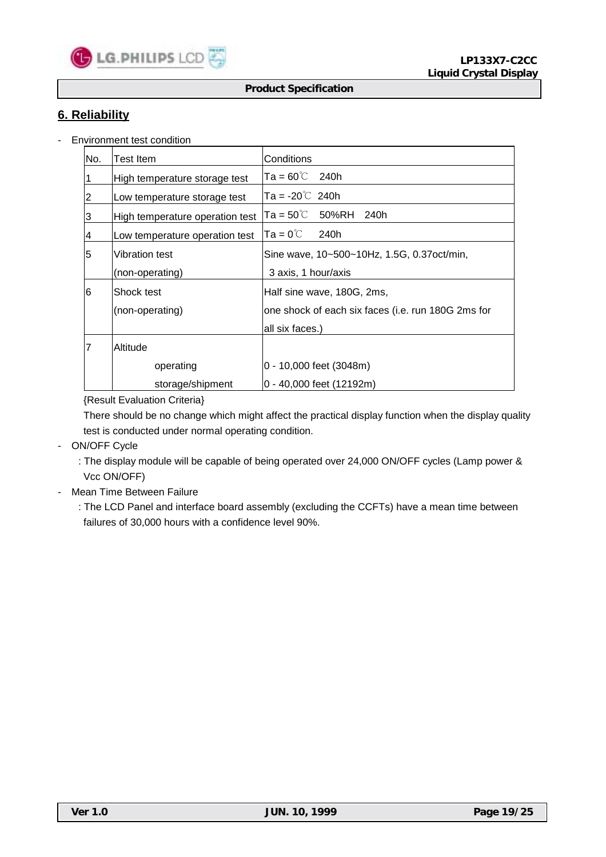

# **6. Reliability**

- Environment test condition

| No.            | Test Item                       | Conditions                                         |
|----------------|---------------------------------|----------------------------------------------------|
| 1              | High temperature storage test   | $Ta = 60^{\circ}C$ 240h                            |
| $\overline{2}$ | Low temperature storage test    | $Ta = -20^{\circ}$ 240h                            |
| 3              | High temperature operation test | lTa = 50℃ 50%RH 240h                               |
| $\overline{4}$ | Low temperature operation test  | $Ta = 0^{\circ}C$<br>240h                          |
| 5              | lVibration test                 | Sine wave, 10~500~10Hz, 1.5G, 0.37oct/min,         |
|                | (non-operating)                 | 3 axis, 1 hour/axis                                |
| 6              | lShock test                     | Half sine wave, 180G, 2ms,                         |
|                | (non-operating)                 | one shock of each six faces (i.e. run 180G 2ms for |
|                |                                 | all six faces.)                                    |
| 17             | Altitude                        |                                                    |
|                | operating                       | 0 - 10,000 feet (3048m)                            |
|                | storage/shipment                | 0 - 40,000 feet (12192m)                           |

### {Result Evaluation Criteria}

 There should be no change which might affect the practical display function when the display quality test is conducted under normal operating condition.

- ON/OFF Cycle
	- : The display module will be capable of being operated over 24,000 ON/OFF cycles (Lamp power & Vcc ON/OFF)
- Mean Time Between Failure
	- : The LCD Panel and interface board assembly (excluding the CCFTs) have a mean time between failures of 30,000 hours with a confidence level 90%.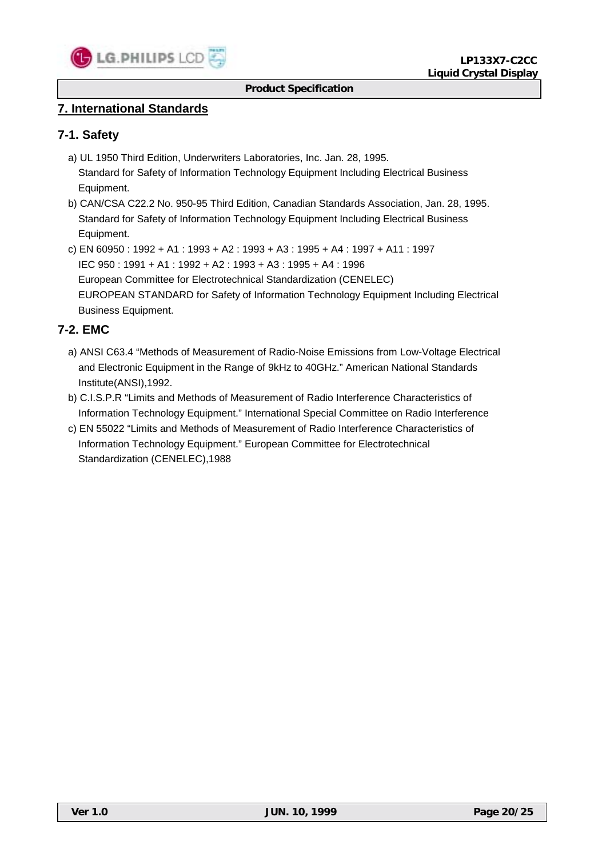

## **7. International Standards**

### **7-1. Safety**

- a) UL 1950 Third Edition, Underwriters Laboratories, Inc. Jan. 28, 1995. Standard for Safety of Information Technology Equipment Including Electrical Business Equipment.
- b) CAN/CSA C22.2 No. 950-95 Third Edition, Canadian Standards Association, Jan. 28, 1995. Standard for Safety of Information Technology Equipment Including Electrical Business Equipment.
- c) EN 60950 : 1992 + A1 : 1993 + A2 : 1993 + A3 : 1995 + A4 : 1997 + A11 : 1997 IEC 950 : 1991 + A1 : 1992 + A2 : 1993 + A3 : 1995 + A4 : 1996 European Committee for Electrotechnical Standardization (CENELEC) EUROPEAN STANDARD for Safety of Information Technology Equipment Including Electrical Business Equipment.

# **7-2. EMC**

- a) ANSI C63.4 "Methods of Measurement of Radio-Noise Emissions from Low-Voltage Electrical and Electronic Equipment in the Range of 9kHz to 40GHz." American National Standards Institute(ANSI),1992.
- b) C.I.S.P.R "Limits and Methods of Measurement of Radio Interference Characteristics of Information Technology Equipment." International Special Committee on Radio Interference
- c) EN 55022 "Limits and Methods of Measurement of Radio Interference Characteristics of Information Technology Equipment." European Committee for Electrotechnical Standardization (CENELEC),1988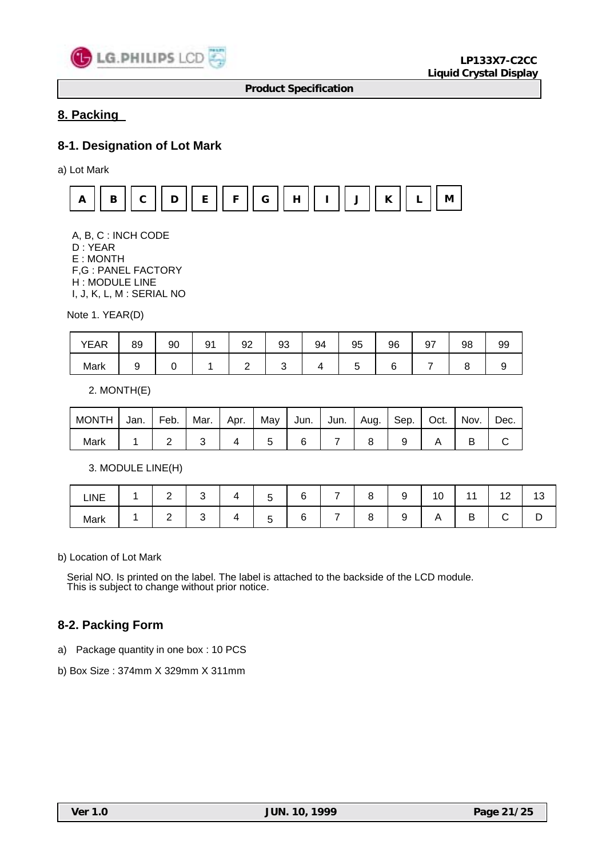

# **8. Packing**

## **8-1. Designation of Lot Mark**

a) Lot Mark



 A, B, C : INCH CODE D : YEAR E : MONTH F,G : PANEL FACTORY H : MODULE LINE I, J, K, L, M : SERIAL NO

Note 1. YEAR(D)

| <b>YEAR</b> | 89 | 90 | Q1 | 92 | 93 | 94 | 95 | 96 | 97 | 98 | 99 |
|-------------|----|----|----|----|----|----|----|----|----|----|----|
| Mark        |    |    |    |    |    |    |    |    |    |    |    |

2. MONTH(E)

| <b>MONTH</b> | Jan. | Feb. | Mar. | Apr. | May | ∣ Jun. ⊺ | Jun. | l Aug. | l Sep. | Oct. | Nov. | Dec. |
|--------------|------|------|------|------|-----|----------|------|--------|--------|------|------|------|
| Mark         |      |      |      |      |     |          |      |        |        |      |      |      |

3. MODULE LINE(H)

| LINE | ◠<br><u>_</u> |   | -<br>ັ      | $\overline{a}$ | - | ◡ | . .<br>۰<br>ΙU |             | ໍດ<br>12 | 4 ຕ<br>ں ، |
|------|---------------|---|-------------|----------------|---|---|----------------|-------------|----------|------------|
| Mark | ⌒<br>-        | ັ | -<br>-<br>ີ | L              | - | ◡ | Γ,             | D<br>-<br>◡ |          | -          |

b) Location of Lot Mark

Serial NO. Is printed on the label. The label is attached to the backside of the LCD module. This is subject to change without prior notice.

### **8-2. Packing Form**

a) Package quantity in one box : 10 PCS

b) Box Size : 374mm X 329mm X 311mm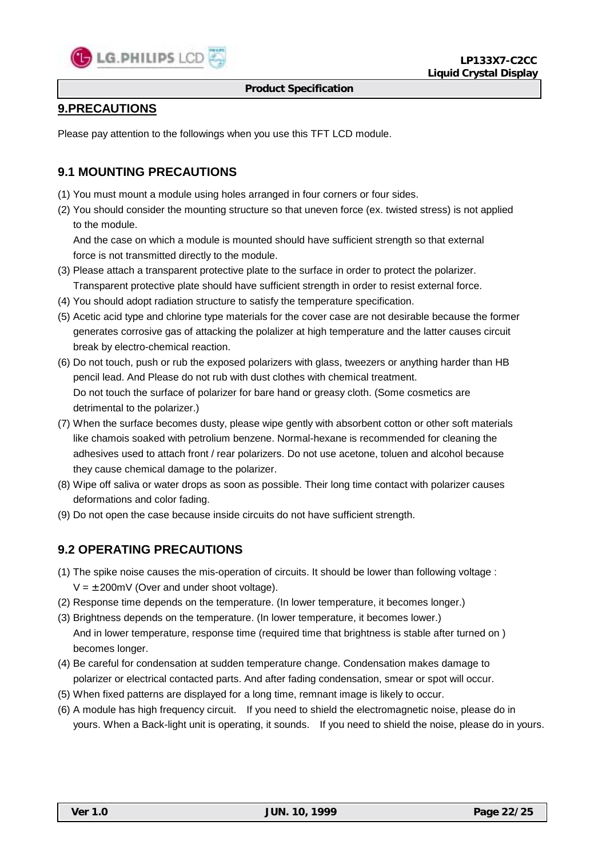

# **9.PRECAUTIONS**

Please pay attention to the followings when you use this TFT LCD module.

# **9.1 MOUNTING PRECAUTIONS**

- (1) You must mount a module using holes arranged in four corners or four sides.
- (2) You should consider the mounting structure so that uneven force (ex. twisted stress) is not applied to the module.

 And the case on which a module is mounted should have sufficient strength so that external force is not transmitted directly to the module.

- (3) Please attach a transparent protective plate to the surface in order to protect the polarizer. Transparent protective plate should have sufficient strength in order to resist external force.
- (4) You should adopt radiation structure to satisfy the temperature specification.
- (5) Acetic acid type and chlorine type materials for the cover case are not desirable because the former generates corrosive gas of attacking the polalizer at high temperature and the latter causes circuit break by electro-chemical reaction.
- (6) Do not touch, push or rub the exposed polarizers with glass, tweezers or anything harder than HB pencil lead. And Please do not rub with dust clothes with chemical treatment. Do not touch the surface of polarizer for bare hand or greasy cloth. (Some cosmetics are detrimental to the polarizer.)
- (7) When the surface becomes dusty, please wipe gently with absorbent cotton or other soft materials like chamois soaked with petrolium benzene. Normal-hexane is recommended for cleaning the adhesives used to attach front / rear polarizers. Do not use acetone, toluen and alcohol because they cause chemical damage to the polarizer.
- (8) Wipe off saliva or water drops as soon as possible. Their long time contact with polarizer causes deformations and color fading.
- (9) Do not open the case because inside circuits do not have sufficient strength.

# **9.2 OPERATING PRECAUTIONS**

- (1) The spike noise causes the mis-operation of circuits. It should be lower than following voltage :  $V = \pm 200$ mV (Over and under shoot voltage).
- (2) Response time depends on the temperature. (In lower temperature, it becomes longer.)
- (3) Brightness depends on the temperature. (In lower temperature, it becomes lower.) And in lower temperature, response time (required time that brightness is stable after turned on ) becomes longer.
- (4) Be careful for condensation at sudden temperature change. Condensation makes damage to polarizer or electrical contacted parts. And after fading condensation, smear or spot will occur.
- (5) When fixed patterns are displayed for a long time, remnant image is likely to occur.
- (6) A module has high frequency circuit. If you need to shield the electromagnetic noise, please do in yours. When a Back-light unit is operating, it sounds. If you need to shield the noise, please do in yours.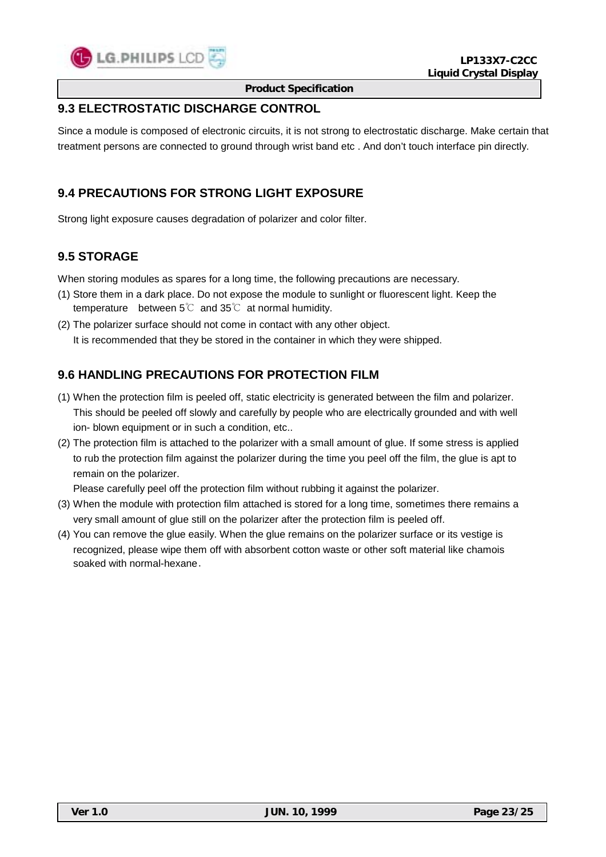

# **9.3 ELECTROSTATIC DISCHARGE CONTROL**

Since a module is composed of electronic circuits, it is not strong to electrostatic discharge. Make certain that treatment persons are connected to ground through wrist band etc . And don't touch interface pin directly.

## **9.4 PRECAUTIONS FOR STRONG LIGHT EXPOSURE**

Strong light exposure causes degradation of polarizer and color filter.

# **9.5 STORAGE**

When storing modules as spares for a long time, the following precautions are necessary.

- (1) Store them in a dark place. Do not expose the module to sunlight or fluorescent light. Keep the temperature between 5℃ and 35℃ at normal humidity.
- (2) The polarizer surface should not come in contact with any other object. It is recommended that they be stored in the container in which they were shipped.

# **9.6 HANDLING PRECAUTIONS FOR PROTECTION FILM**

- (1) When the protection film is peeled off, static electricity is generated between the film and polarizer. This should be peeled off slowly and carefully by people who are electrically grounded and with well ion- blown equipment or in such a condition, etc..
- (2) The protection film is attached to the polarizer with a small amount of glue. If some stress is applied to rub the protection film against the polarizer during the time you peel off the film, the glue is apt to remain on the polarizer.

Please carefully peel off the protection film without rubbing it against the polarizer.

- (3) When the module with protection film attached is stored for a long time, sometimes there remains a very small amount of glue still on the polarizer after the protection film is peeled off.
- (4) You can remove the glue easily. When the glue remains on the polarizer surface or its vestige is recognized, please wipe them off with absorbent cotton waste or other soft material like chamois soaked with normal-hexane.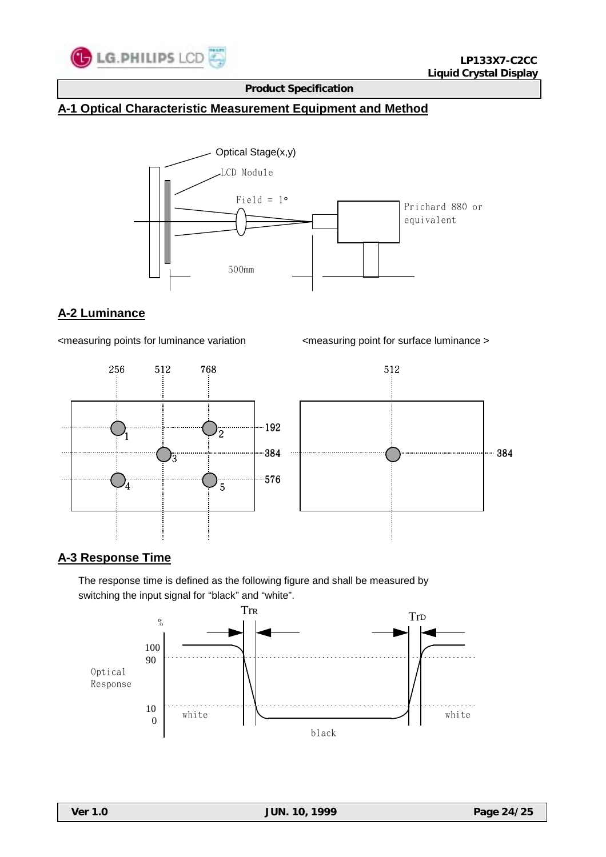

# **A-1 Optical Characteristic Measurement Equipment and Method**



## **A-2 Luminance**



### **A-3 Response Time**

 The response time is defined as the following figure and shall be measured by switching the input signal for "black" and "white".